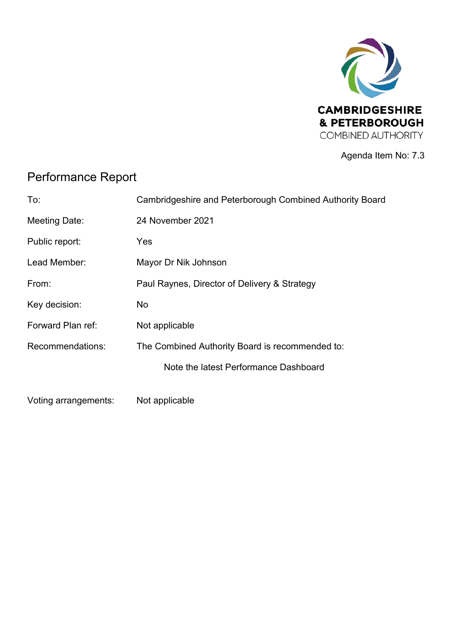

Agenda Item No: 7.3

## Performance Report

| To:                  | Cambridgeshire and Peterborough Combined Authority Board |
|----------------------|----------------------------------------------------------|
| Meeting Date:        | 24 November 2021                                         |
| Public report:       | Yes                                                      |
| Lead Member:         | Mayor Dr Nik Johnson                                     |
| From:                | Paul Raynes, Director of Delivery & Strategy             |
| Key decision:        | No.                                                      |
| Forward Plan ref:    | Not applicable                                           |
| Recommendations:     | The Combined Authority Board is recommended to:          |
|                      | Note the latest Performance Dashboard                    |
| Voting arrangements: | Not applicable                                           |